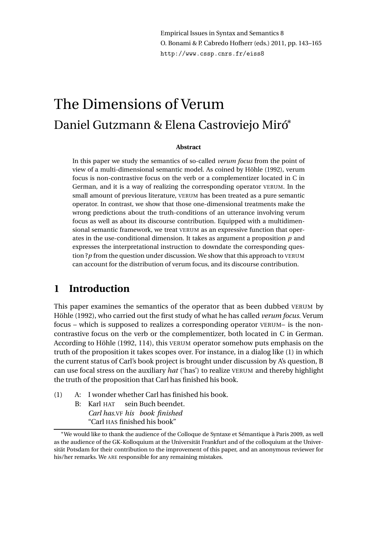Empirical Issues in Syntax and Semantics 8 O. Bonami & P. Cabredo Hofherr (eds.) 2011, pp. 143–165 http://www.cssp.cnrs.fr/eiss8

# The Dimensions of Verum Daniel Gutzmann & Elena Castroviejo Miró<sup>∗</sup>

#### **Abstract**

In this paper we study the semantics of so-called *verum focus* from the point of view of a multi-dimensional semantic model. As coined by Höhle (1992), verum focus is non-contrastive focus on the verb or a complementizer located in C in German, and it is a way of realizing the corresponding operator VERUM. In the small amount of previous literature, VERUM has been treated as a pure semantic operator. In contrast, we show that those one-dimensional treatments make the wrong predictions about the truth-conditions of an utterance involving verum focus as well as about its discourse contribution. Equipped with a multidimensional semantic framework, we treat VERUM as an expressive function that operates in the use-conditional dimension. It takes as argument a proposition *p* and expresses the interpretational instruction to downdate the corresponding question ?*p* from the question under discussion. We show that this approach to VERUM can account for the distribution of verum focus, and its discourse contribution.

# **1 Introduction**

This paper examines the semantics of the operator that as been dubbed VERUM by Höhle (1992), who carried out the first study of what he has called *verum focus*. Verum focus – which is supposed to realizes a corresponding operator VERUM– is the noncontrastive focus on the verb or the complementizer, both located in C in German. According to Höhle (1992, 114), this VERUM operator somehow puts emphasis on the truth of the proposition it takes scopes over. For instance, in a dialog like (1) in which the current status of Carl's book project is brought under discussion by A's question, B can use focal stress on the auxiliary *hat* ('has') to realize VERUM and thereby highlight the truth of the proposition that Carl has finished his book.

- (1) A: I wonder whether Carl has finished his book.
	- B: Karl HAT *Carl has.*VF *his book finished* sein Buch beendet. "Carl HAS finished his book"

<sup>∗</sup>We would like to thank the audience of the Colloque de Syntaxe et Sémantique à Paris 2009, as well as the audience of the GK-Kolloquium at the Universität Frankfurt and of the colloquium at the Universität Potsdam for their contribution to the improvement of this paper, and an anonymous reviewer for his/her remarks. We ARE responsible for any remaining mistakes.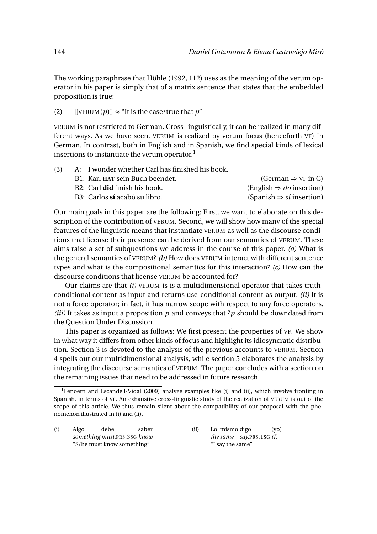The working paraphrase that Höhle (1992, 112) uses as the meaning of the verum operator in his paper is simply that of a matrix sentence that states that the embedded proposition is true:

(2)  $[VERUM(p)] \approx "It is the case/true that p"$ 

VERUM is not restricted to German. Cross-linguistically, it can be realized in many different ways. As we have seen, VERUM is realized by verum focus (henceforth VF) in German. In contrast, both in English and in Spanish, we find special kinds of lexical insertions to instantiate the verum operator.<sup>1</sup>

| (3) |  | A: I wonder whether Carl has finished his book. |
|-----|--|-------------------------------------------------|
|-----|--|-------------------------------------------------|

| B1: Karl HAT sein Buch beendet.      | (German $\Rightarrow$ VF in C)              |
|--------------------------------------|---------------------------------------------|
| B2: Carl <b>did</b> finish his book. | $(English \Rightarrow do insertion)$        |
| B3: Carlos sí acabó su libro.        | (Spanish $\Rightarrow$ <i>sí</i> insertion) |

Our main goals in this paper are the following: First, we want to elaborate on this description of the contribution of VERUM. Second, we will show how many of the special features of the linguistic means that instantiate VERUM as well as the discourse conditions that license their presence can be derived from our semantics of VERUM. These aims raise a set of subquestions we address in the course of this paper. *(a)* What is the general semantics of VERUM? *(b)* How does VERUM interact with different sentence types and what is the compositional semantics for this interaction? *(c)* How can the discourse conditions that license VERUM be accounted for?

Our claims are that *(i)* VERUM is is a multidimensional operator that takes truthconditional content as input and returns use-conditional content as output. *(ii)* It is not a force operator; in fact, it has narrow scope with respect to any force operators. *(iii)* It takes as input a proposition *p* and conveys that ?*p* should be downdated from the Question Under Discussion.

This paper is organized as follows: We first present the properties of VF. We show in what way it differs from other kinds of focus and highlight its idiosyncratic distribution. Section 3 is devoted to the analysis of the previous accounts to VERUM. Section 4 spells out our multidimensional analysis, while section 5 elaborates the analysis by integrating the discourse semantics of VERUM. The paper concludes with a section on the remaining issues that need to be addressed in future research.

(i) Algo *something must.*PRS.3SG *know* debe saber. "S/he must know something"

(ii) Lo mismo digo *the same say.*PRS.1SG *(I)* (yo) "I say the same"

<sup>&</sup>lt;sup>1</sup>Lenoetti and Escandell-Vidal (2009) analyze examples like (i) and (ii), which involve fronting in Spanish, in terms of VF. An exhaustive cross-linguistic study of the realization of VERUM is out of the scope of this article. We thus remain silent about the compatibility of our proposal with the phenomenon illustrated in (i) and (ii).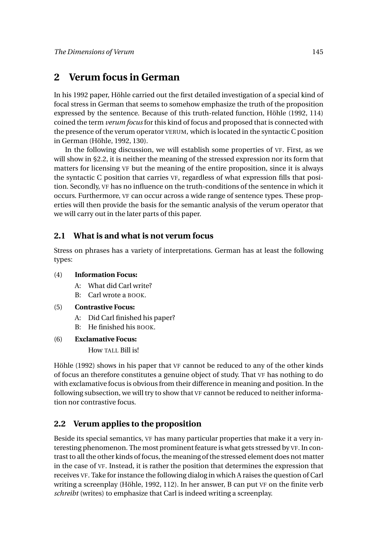# **2 Verum focus in German**

In his 1992 paper, Höhle carried out the first detailed investigation of a special kind of focal stress in German that seems to somehow emphasize the truth of the proposition expressed by the sentence. Because of this truth-related function, Höhle (1992, 114) coined the term *verum focus* for this kind of focus and proposed that is connected with the presence of the verum operator VERUM, which is located in the syntactic C position in German (Höhle, 1992, 130).

In the following discussion, we will establish some properties of VF. First, as we will show in §2.2, it is neither the meaning of the stressed expression nor its form that matters for licensing VF but the meaning of the entire proposition, since it is always the syntactic C position that carries VF, regardless of what expression fills that position. Secondly, VF has no influence on the truth-conditions of the sentence in which it occurs. Furthermore, VF can occur across a wide range of sentence types. These properties will then provide the basis for the semantic analysis of the verum operator that we will carry out in the later parts of this paper.

# **2.1 What is and what is not verum focus**

Stress on phrases has a variety of interpretations. German has at least the following types:

- (4) **Information Focus:**
	- A: What did Carl write?
	- B: Carl wrote a BOOK.
- (5) **Contrastive Focus:**
	- A: Did Carl finished his paper?
	- B: He finished his BOOK.
- (6) **Exclamative Focus:**

How TALL Bill is!

Höhle (1992) shows in his paper that VF cannot be reduced to any of the other kinds of focus an therefore constitutes a genuine object of study. That VF has nothing to do with exclamative focus is obvious from their difference in meaning and position. In the following subsection, we will try to show that VF cannot be reduced to neither information nor contrastive focus.

# **2.2 Verum applies to the proposition**

Beside its special semantics, VF has many particular properties that make it a very interesting phenomenon. The most prominent feature is what gets stressed by VF. In contrast to all the other kinds of focus, the meaning of the stressed element does not matter in the case of VF. Instead, it is rather the position that determines the expression that receives VF. Take for instance the following dialog in which A raises the question of Carl writing a screenplay (Höhle, 1992, 112). In her answer, B can put VF on the finite verb *schreibt* (writes) to emphasize that Carl is indeed writing a screenplay.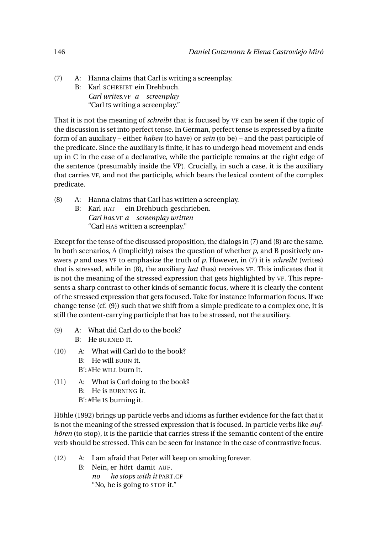(7) A: Hanna claims that Carl is writing a screenplay. B: Karl SCHREIBT ein Drehbuch. *Carl writes.*VF *a screenplay* "Carl IS writing a screenplay."

That it is not the meaning of *schreibt* that is focused by VF can be seen if the topic of the discussion is set into perfect tense. In German, perfect tense is expressed by a finite form of an auxiliary – either *haben* (to have) or *sein* (to be) – and the past participle of the predicate. Since the auxiliary is finite, it has to undergo head movement and ends up in C in the case of a declarative, while the participle remains at the right edge of the sentence (presumably inside the VP). Crucially, in such a case, it is the auxiliary that carries VF, and not the participle, which bears the lexical content of the complex predicate.

- (8) A: Hanna claims that Carl has written a screenplay.
	- B: Karl HAT ein Drehbuch geschrieben. *Carl has.*VF *a screenplay written* "Carl HAS written a screenplay."

Except for the tense of the discussed proposition, the dialogs in (7) and (8) are the same. In both scenarios, A (implicitly) raises the question of whether *p*, and B positively answers *p* and uses VF to emphasize the truth of *p*. However, in (7) it is *schreibt* (writes) that is stressed, while in (8), the auxiliary *hat* (has) receives VF. This indicates that it is not the meaning of the stressed expression that gets highlighted by VF. This represents a sharp contrast to other kinds of semantic focus, where it is clearly the content of the stressed expression that gets focused. Take for instance information focus. If we change tense (cf. (9)) such that we shift from a simple predicate to a complex one, it is still the content-carrying participle that has to be stressed, not the auxiliary.

- (9) A: What did Carl do to the book? B: He BURNED it.
- (10) A: What will Carl do to the book?
	- B: He will BURN it.
	- B': #He WILL burn it.
- (11) A: What is Carl doing to the book?
	- B: He is BURNING it.
	- B': #He IS burning it.

Höhle (1992) brings up particle verbs and idioms as further evidence for the fact that it is not the meaning of the stressed expression that is focused. In particle verbs like *aufhören* (to stop), it is the particle that carries stress if the semantic content of the entire verb should be stressed. This can be seen for instance in the case of contrastive focus.

- (12) A: I am afraid that Peter will keep on smoking forever.
	- B: Nein, er hört damit AUF. *no he stops with it* PART*.*CF "No, he is going to STOP it."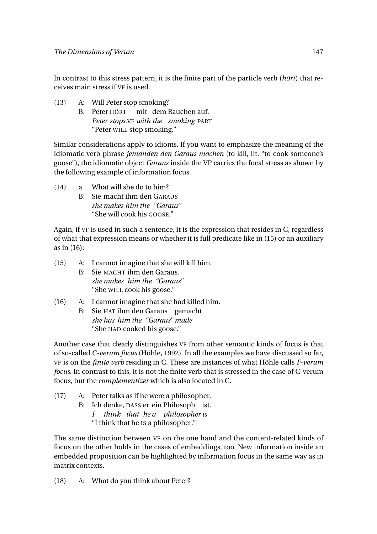In contrast to this stress pattern, it is the finite part of the particle verb (*hört*) that receives main stress if VF is used.

- (13) A: Will Peter stop smoking?
	- B: Peter HÖRT mit dem Rauchen auf. *Peter stops.*VF *with the smoking* PART "Peter WILL stop smoking."

Similar considerations apply to idioms. If you want to emphasize the meaning of the idiomatic verb phrase *jemanden den Garaus machen* (to kill, lit. "to cook someone's goose"), the idiomatic object *Garaus* inside the VP carries the focal stress as shown by the following example of information focus.

- (14) a. What will she do to him?
	- B: Sie macht ihm den GARAUS *she makes him the "Garaus"* "She will cook his GOOSE."

Again, if VF is used in such a sentence, it is the expression that resides in C, regardless of what that expression means or whether it is full predicate like in (15) or an auxiliary as in (16):

- (15) A: I cannot imagine that she will kill him.
	- B: Sie MACHT ihm den Garaus. *she makes him the "Garaus"* "She WILL cook his goose."

# (16) A: I cannot imagine that she had killed him.

B: Sie HAT ihm den Garaus gemacht. *she has him the "Garaus" made* "She HAD cooked his goose."

Another case that clearly distinguishes VF from other semantic kinds of focus is that of so-called *C-verum focus* (Höhle, 1992). In all the examples we have discussed so far, VF is on the *finite verb* residing in C. These are instances of what Höhle calls *F-verum focus*. In contrast to this, it is not the finite verb that is stressed in the case of C-verum focus, but the *complementizer* which is also located in C.

- (17) A: Peter talks as if he were a philosopher.
	- B: Ich denke, DASS er ein Philosoph ist. *I think* that hea
	philosopher is
		- "I think that he IS a philosopher."

The same distinction between VF on the one hand and the content-related kinds of focus on the other holds in the cases of embeddings, too. New information inside an embedded proposition can be highlighted by information focus in the same way as in matrix contexts.

(18) A: What do you think about Peter?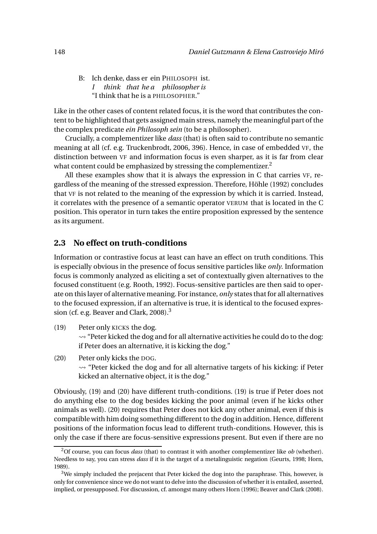B: Ich denke, dass er ein PHILOSOPH ist. *I think that he a philosopher is* "I think that he is a PHILOSOPHER."

Like in the other cases of content related focus, it is the word that contributes the content to be highlighted that gets assigned main stress, namely the meaningful part of the the complex predicate *ein Philosoph sein* (to be a philosopher).

Crucially, a complementizer like *dass* (that) is often said to contribute no semantic meaning at all (cf. e.g. Truckenbrodt, 2006, 396). Hence, in case of embedded VF, the distinction between VF and information focus is even sharper, as it is far from clear what content could be emphasized by stressing the complementizer.<sup>2</sup>

All these examples show that it is always the expression in C that carries VF, regardless of the meaning of the stressed expression. Therefore, Höhle (1992) concludes that VF is not related to the meaning of the expression by which it is carried. Instead, it correlates with the presence of a semantic operator VERUM that is located in the C position. This operator in turn takes the entire proposition expressed by the sentence as its argument.

# **2.3 No effect on truth-conditions**

Information or contrastive focus at least can have an effect on truth conditions. This is especially obvious in the presence of focus sensitive particles like *only*. Information focus is commonly analyzed as eliciting a set of contextually given alternatives to the focused constituent (e.g. Rooth, 1992). Focus-sensitive particles are then said to operate on this layer of alternative meaning. For instance, *only* states that for all alternatives to the focused expression, if an alternative is true, it is identical to the focused expression (cf. e.g. Beaver and Clark, 2008).<sup>3</sup>

- (19) Peter only KICKS the dog.  $\rightsquigarrow$  "Peter kicked the dog and for all alternative activities he could do to the dog: if Peter does an alternative, it is kicking the dog."
- (20) Peter only kicks the DOG.  $\rightsquigarrow$  "Peter kicked the dog and for all alternative targets of his kicking: if Peter kicked an alternative object, it is the dog."

Obviously, (19) and (20) have different truth-conditions. (19) is true if Peter does not do anything else to the dog besides kicking the poor animal (even if he kicks other animals as well). (20) requires that Peter does not kick any other animal, even if this is compatible with him doing something different to the dog in addition. Hence, different positions of the information focus lead to different truth-conditions. However, this is only the case if there are focus-sensitive expressions present. But even if there are no

<sup>2</sup>Of course, you can focus *dass* (that) to contrast it with another complementizer like *ob* (whether). Needless to say, you can stress *dass* if it is the target of a metalinguistic negation (Geurts, 1998; Horn, 1989).

 $3$ We simply included the prejacent that Peter kicked the dog into the paraphrase. This, however, is only for convenience since we do not want to delve into the discussion of whether it is entailed, asserted, implied, or presupposed. For discussion, cf. amongst many others Horn (1996); Beaver and Clark (2008).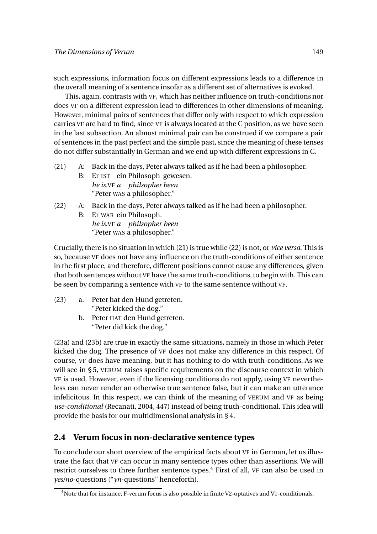such expressions, information focus on different expressions leads to a difference in the overall meaning of a sentence insofar as a different set of alternatives is evoked.

This, again, contrasts with VF, which has neither influence on truth-conditions nor does VF on a different expression lead to differences in other dimensions of meaning. However, minimal pairs of sentences that differ only with respect to which expression carries VF are hard to find, since VF is always located at the C position, as we have seen in the last subsection. An almost minimal pair can be construed if we compare a pair of sentences in the past perfect and the simple past, since the meaning of these tenses do not differ substantially in German and we end up with different expressions in C.

- (21) A: Back in the days, Peter always talked as if he had been a philosopher.
	- B: Er IST ein Philosoph gewesen. *he is.*VF *a philsopher been* "Peter WAS a philosopher."

#### (22) A: Back in the days, Peter always talked as if he had been a philosopher.

B: Er WAR ein Philosoph. *he is.*VF *a philsopher been* "Peter WAS a philosopher."

Crucially, there is no situation in which (21) is true while (22) is not, or *vice versa*. This is so, because VF does not have any influence on the truth-conditions of either sentence in the first place, and therefore, different positions cannot cause any differences, given that both sentences without VF have the same truth-conditions, to begin with. This can be seen by comparing a sentence with VF to the same sentence without VF.

- (23) a. Peter hat den Hund getreten. "Peter kicked the dog."
	- b. Peter HAT den Hund getreten. "Peter did kick the dog."

(23a) and (23b) are true in exactly the same situations, namely in those in which Peter kicked the dog. The presence of VF does not make any difference in this respect. Of course, VF does have meaning, but it has nothing to do with truth-conditions. As we will see in §5, VERUM raises specific requirements on the discourse context in which VF is used. However, even if the licensing conditions do not apply, using VF nevertheless can never render an otherwise true sentence false, but it can make an utterance infelicitous. In this respect, we can think of the meaning of VERUM and VF as being *use-conditional* (Recanati, 2004, 447) instead of being truth-conditional. This idea will provide the basis for our multidimensional analysis in § 4.

# **2.4 Verum focus in non-declarative sentence types**

To conclude our short overview of the empirical facts about VF in German, let us illustrate the fact that VF can occur in many sentence types other than assertions. We will restrict ourselves to three further sentence types.<sup>4</sup> First of all, VF can also be used in *yes/no*-questions ("*yn*-questions" henceforth).

<sup>&</sup>lt;sup>4</sup>Note that for instance, F-verum focus is also possible in finite V2-optatives and V1-conditionals.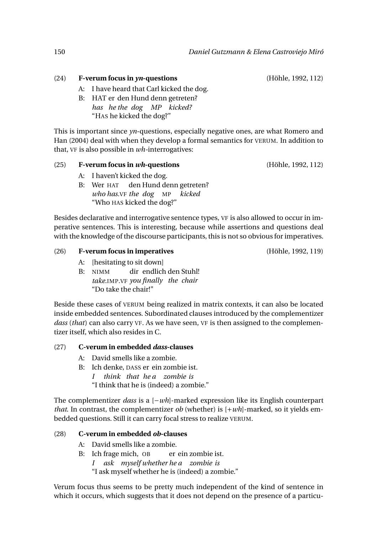- (24) **F-verum focus in** *yn***-questions** (Höhle, 1992, 112)
	- A: I have heard that Carl kicked the dog.
	- B: HAT er den Hund denn getreten? *has he the dog MP kicked?* "HAS he kicked the dog?"

This is important since *yn*-questions, especially negative ones, are what Romero and Han (2004) deal with when they develop a formal semantics for VERUM. In addition to that, VF is also possible in *wh-*interrogatives:

# (25) **F-verum focus in** *wh***-questions** (Höhle, 1992, 112)

- A: I haven't kicked the dog.
- B: Wer HAT den Hund denn getreten? *who has.*VF *the dog* MP *kicked* "Who HAS kicked the dog?"

Besides declarative and interrogative sentence types, VF is also allowed to occur in imperative sentences. This is interesting, because while assertions and questions deal with the knowledge of the discourse participants, this is not so obvious for imperatives.

#### (26) **F-verum focus in imperatives** (Höhle, 1992, 119)

- A: [hesitating to sit down]
- B: NIMM *take.*IMP*.*VF *you finally the chair* dir endlich den Stuhl! "Do take the chair!"

Beside these cases of VERUM being realized in matrix contexts, it can also be located inside embedded sentences. Subordinated clauses introduced by the complementizer *dass* (*that*) can also carry VF. As we have seen, VF is then assigned to the complementizer itself, which also resides in C.

# (27) **C-verum in embedded** *dass***-clauses**

- A: David smells like a zombie.
- B: Ich denke, DASS er ein zombie ist.
	- *I think that he a zombie is*
	- "I think that he is (indeed) a zombie."

The complementizer *dass* is a [−*wh*]-marked expression like its English counterpart *that*. In contrast, the complementizer *ob* (whether) is  $[+wh]$ -marked, so it yields embedded questions. Still it can carry focal stress to realize VERUM.

# (28) **C-verum in embedded** *ob***-clauses**

- A: David smells like a zombie.
- B: Ich frage mich, OB *I ask myself whether he a zombie is* er ein zombie ist. "I ask myself whether he is (indeed) a zombie."

Verum focus thus seems to be pretty much independent of the kind of sentence in which it occurs, which suggests that it does not depend on the presence of a particu-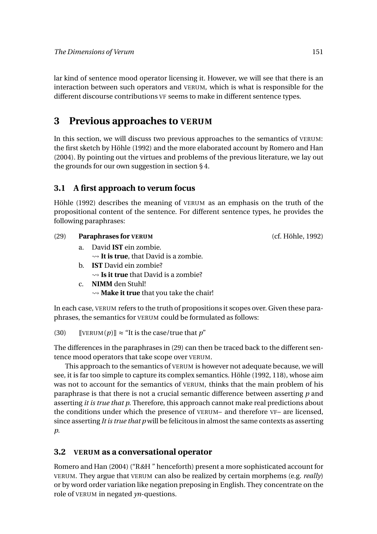lar kind of sentence mood operator licensing it. However, we will see that there is an interaction between such operators and VERUM, which is what is responsible for the different discourse contributions VF seems to make in different sentence types.

# **3 Previous approaches to VERUM**

In this section, we will discuss two previous approaches to the semantics of VERUM: the first sketch by Höhle (1992) and the more elaborated account by Romero and Han (2004). By pointing out the virtues and problems of the previous literature, we lay out the grounds for our own suggestion in section § 4.

# **3.1 A first approach to verum focus**

Höhle (1992) describes the meaning of VERUM as an emphasis on the truth of the propositional content of the sentence. For different sentence types, he provides the following paraphrases:

# (29) **Paraphrases for VERUM** (cf. Höhle, 1992)

- a. David **IST** ein zombie.  $\rightarrow$  **It is true**, that David is a zombie.
- b. **IST** David ein zombie? **Is it true** that David is a zombie?
- c. **NIMM** den Stuhl!
	- **Make it true** that you take the chair!

In each case, VERUM refers to the truth of propositions it scopes over. Given these paraphrases, the semantics for VERUM could be formulated as follows:

(30) [[VERUM( $p$ ]]  $\approx$  "It is the case/true that  $p$ "

The differences in the paraphrases in (29) can then be traced back to the different sentence mood operators that take scope over VERUM.

This approach to the semantics of VERUM is however not adequate because, we will see, it is far too simple to capture its complex semantics. Höhle (1992, 118), whose aim was not to account for the semantics of VERUM, thinks that the main problem of his paraphrase is that there is not a crucial semantic difference between asserting *p* and asserting *it is true that p*. Therefore, this approach cannot make real predictions about the conditions under which the presence of VERUM– and therefore VF– are licensed, since asserting *It is true that p* will be felicitous in almost the same contexts as asserting *p*.

# **3.2 VERUM as a conversational operator**

Romero and Han (2004) ("R*&*H " henceforth) present a more sophisticated account for VERUM. They argue that VERUM can also be realized by certain morphems (e.g. *really*) or by word order variation like negation preposing in English. They concentrate on the role of VERUM in negated *yn*-questions.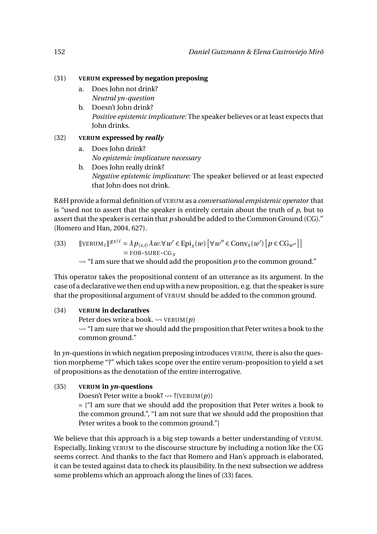#### (31) **VERUM expressed by negation preposing**

- a. Does John not drink? *Neutral yn-question*
- b. Doesn't John drink? *Positive epistemic implicature:* The speaker believes or at least expects that John drinks.

#### (32) **VERUM expressed by** *really*

- a. Does John drink? *No epistemic implicature necessary*
- b. Does John really drink? *Negative epistemic implicature:* The speaker believed or at least expected that John does not drink.

R*&*H provide a formal definition of VERUM as a *conversational empistemic operator* that is "used not to assert that the speaker is entirely certain about the truth of *p*, but to assert that the speaker is certain that *p* should be added to the Common Ground (CG)." (Romero and Han, 2004, 627).

(33) 
$$
\llbracket \text{VERUM}_{i} \rrbracket^{g x / i} = \lambda p_{\langle s, t \rangle} \lambda w. \forall w' \in \text{Epi}_{x}(w) \left[ \forall w'' \in \text{Conv}_{x}(w') \left[ p \in \text{CG}_{w''} \right] \right] = \text{FOR-SURE-G}_{x}
$$

 $\rightarrow$  "I am sure that we should add the proposition *p* to the common ground."

This operator takes the propositional content of an utterance as its argument. In the case of a declarative we then end up with a new proposition, e.g. that the speaker is sure that the propositional argument of VERUM should be added to the common ground.

#### (34) **VERUM in declaratives**

Peter does write a book.  $\rightsquigarrow$  VERUM(*p*)

 $\rightarrow$  "I am sure that we should add the proposition that Peter writes a book to the common ground."

In *yn*-questions in which negation preposing introduces VERUM, there is also the question morpheme "?" which takes scope over the entire verum-proposition to yield a set of propositions as the denotation of the entire interrogative.

#### (35) **VERUM in** *yn***-questions**

Doesn't Peter write a book?  $\rightsquigarrow$  ?(VERUM(*p*))

= {"I am sure that we should add the proposition that Peter writes a book to the common ground.", "I am not sure that we should add the proposition that Peter writes a book to the common ground."}

We believe that this approach is a big step towards a better understanding of VERUM. Especially, linking VERUM to the discourse structure by including a notion like the CG seems correct. And thanks to the fact that Romero and Han's approach is elaborated, it can be tested against data to check its plausibility. In the next subsection we address some problems which an approach along the lines of (33) faces.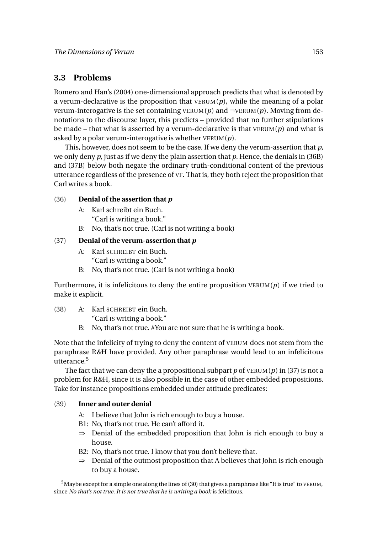# **3.3 Problems**

Romero and Han's (2004) one-dimensional approach predicts that what is denoted by a verum-declarative is the proposition that  $VERUM(p)$ , while the meaning of a polar verum-interogative is the set containing VERUM( $p$ ) and  $\neg$ VERUM( $p$ ). Moving from denotations to the discourse layer, this predicts – provided that no further stipulations be made – that what is asserted by a verum-declarative is that VERUM(*p*) and what is asked by a polar verum-interogative is whether VERUM(*p*).

This, however, does not seem to be the case. If we deny the verum-assertion that *p*, we only deny *p*, just as if we deny the plain assertion that *p*. Hence, the denials in (36B) and (37B) below both negate the ordinary truth-conditional content of the previous utterance regardless of the presence of VF. That is, they both reject the proposition that Carl writes a book.

# (36) **Denial of the assertion that** *p*

- A: Karl schreibt ein Buch. "Carl is writing a book."
- B: No, that's not true. (Carl is not writing a book)

# (37) **Denial of the verum-assertion that** *p*

- A: Karl SCHREIBT ein Buch. "Carl IS writing a book."
- B: No, that's not true. (Carl is not writing a book)

Furthermore, it is infelicitous to deny the entire proposition  $VERUM(p)$  if we tried to make it explicit.

(38) A: Karl SCHREIBT ein Buch.

"Carl IS writing a book."

B: No, that's not true. #You are not sure that he is writing a book.

Note that the infelicity of trying to deny the content of VERUM does not stem from the paraphrase R*&*H have provided. Any other paraphrase would lead to an infelicitous utterance.<sup>5</sup>

The fact that we can deny the a propositional subpart  $p$  of VERUM( $p$ ) in (37) is not a problem for R*&*H, since it is also possible in the case of other embedded propositions. Take for instance propositions embedded under attitude predicates:

# (39) **Inner and outer denial**

- A: I believe that John is rich enough to buy a house.
- B1: No, that's not true. He can't afford it.
- ⇒ Denial of the embedded proposition that John is rich enough to buy a house.
- B2: No, that's not true. I know that you don't believe that.
- ⇒ Denial of the outmost proposition that A believes that John is rich enough to buy a house.

 $5$ Maybe except for a simple one along the lines of (30) that gives a paraphrase like "It is true" to VERUM, since *No that's not true. It is not true that he is writing a book* is felicitous.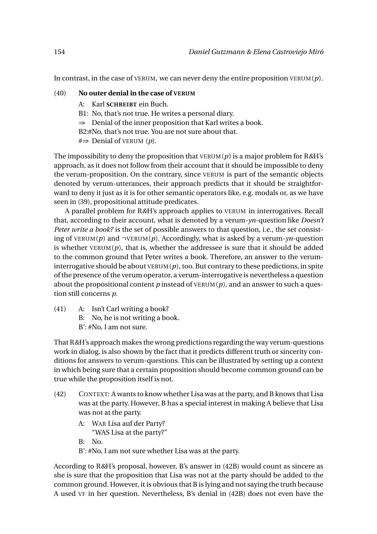In contrast, in the case of VERUM, we can never deny the entire proposition VERUM $(p)$ .

#### (40) **No outer denial in the case of VERUM**

- A: Karl **SCHREIBT** ein Buch.
- B1: No, that's not true. He writes a personal diary.
- ⇒ Denial of the inner proposition that Karl writes a book.
- B2:#No, that's not true. You are not sure about that.
- #⇒ Denial of VERUM (*p*).

The impossibility to deny the proposition that VERUM(*p*) is a major problem for R*&*H's approach, as it does not follow from their account that it should be impossible to deny the verum-proposition. On the contrary, since VERUM is part of the semantic objects denoted by verum-utterances, their approach predicts that it should be straightforward to deny it just as it is for other semantic operators like, e.g. modals or, as we have seen in (39), propositional attitude predicates.

A parallel problem for R*&*H's approach applies to VERUM in interrogatives. Recall that, according to their account, what is denoted by a verum-*yn*-question like *Doesn't Peter write a book?* is the set of possible answers to that question, i.e., the set consisting of VERUM(*p*) and ¬VERUM(*p*). Accordingly, what is asked by a verum-*yn*-question is whether  $VERUM(p)$ , that is, whether the addressee is sure that it should be added to the common ground that Peter writes a book. Therefore, an answer to the veruminterrogative should be about  $VERUM(p)$ , too. But contrary to these predictions, in spite of the presence of the verum operator, a verum-interrogativeis nevertheless a question about the propositional content  $p$  instead of  $VERUM(p)$ , and an answer to such a question still concerns *p*.

- (41) A: Isn't Carl writing a book?
	- B: No, he is not writing a book.
	- B': #No, I am not sure.

That R*&*H's approach makes the wrong predictions regarding the way verum-questions work in dialog, is also shown by the fact that it predicts different truth or sincerity conditions for answers to verum-questions. This can be illustrated by setting up a context in which being sure that a certain proposition should become common ground can be true while the proposition itself is not.

- (42) CONTEXT: A wants to know whether Lisa was at the party, and B knows that Lisa was at the party. However, B has a special interest in making A believe that Lisa was not at the party.
	- A: WAR Lisa auf der Party? "WAS Lisa at the party?"

B: No.

B': #No, I am not sure whether Lisa was at the party.

According to R*&*H's proposal, however, B's answer in (42B) would count as sincere as she is sure that the proposition that Lisa was not at the party should be added to the common ground. However, it is obvious that B is lying and not saying the truth because A used VF in her question. Nevertheless, B's denial in (42B) does not even have the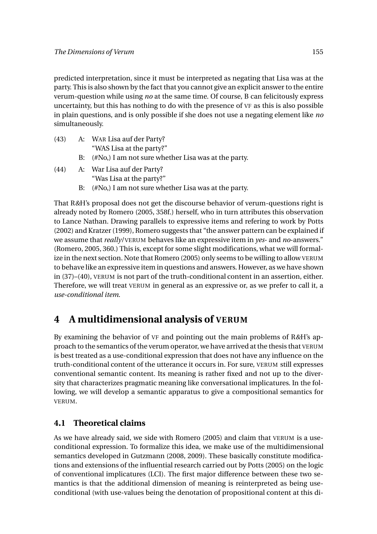predicted interpretation, since it must be interpreted as negating that Lisa was at the party. This is also shown by the fact that you cannot give an explicit answer to the entire verum-question while using *no* at the same time. Of course, B can felicitously express uncertainty, but this has nothing to do with the presence of VF as this is also possible in plain questions, and is only possible if she does not use a negating element like *no* simultaneously.

- (43) A: WAR Lisa auf der Party? "WAS Lisa at the party?"
	- B: (#No,) I am not sure whether Lisa was at the party.
- (44) A: War Lisa auf der Party? "Was Lisa at the party?"
	- B: (#No,) I am not sure whether Lisa was at the party.

That R*&*H's proposal does not get the discourse behavior of verum-questions right is already noted by Romero (2005, 358f.) herself, who in turn attributes this observation to Lance Nathan. Drawing parallels to expressive items and refering to work by Potts (2002) and Kratzer (1999), Romero suggests that "the answer pattern can be explained if we assume that *really*/VERUM behaves like an expressive item in *yes*- and *no*-answers." (Romero, 2005, 360.) This is, except for some slight modifications, what we will formalize in the next section. Note that Romero (2005) only seems to be willing to allow VERUM to behave like an expressive item in questions and answers. However, as we have shown in (37)–(40), VERUM is not part of the truth-conditional content in an assertion, either. Therefore, we will treat VERUM in general as an expressive or, as we prefer to call it, a *use-conditional item*.

# **4 A multidimensional analysis of VERUM**

By examining the behavior of VF and pointing out the main problems of R*&*H's approach to the semantics of the verum operator, we have arrived at the thesis that VERUM is best treated as a use-conditional expression that does not have any influence on the truth-conditional content of the utterance it occurs in. For sure, VERUM still expresses conventional semantic content. Its meaning is rather fixed and not up to the diversity that characterizes pragmatic meaning like conversational implicatures. In the following, we will develop a semantic apparatus to give a compositional semantics for VERUM.

# **4.1 Theoretical claims**

As we have already said, we side with Romero (2005) and claim that VERUM is a useconditional expression. To formalize this idea, we make use of the multidimensional semantics developed in Gutzmann (2008, 2009). These basically constitute modifications and extensions of the influential research carried out by Potts (2005) on the logic of conventional implicatures (LCI). The first major difference between these two semantics is that the additional dimension of meaning is reinterpreted as being useconditional (with use-values being the denotation of propositional content at this di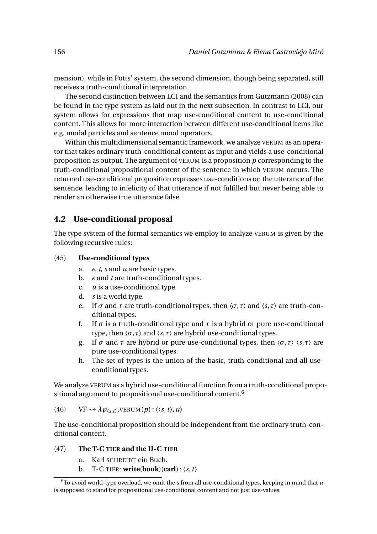mension), while in Potts' system, the second dimension, though being separated, still receives a truth-conditional interpretation.

The second distinction between LCI and the semantics from Gutzmann (2008) can be found in the type system as laid out in the next subsection. In contrast to LCI, our system allows for expressions that map use-conditional content to use-conditional content. This allows for more interaction between different use-conditional items like e.g. modal particles and sentence mood operators.

Within this multidimensional semantic framework, we analyze VERUM as an operator that takes ordinary truth-conditional content as input and yields a use-conditional proposition as output. The argument of VERUM is a proposition *p* corresponding to the truth-conditional propositional content of the sentence in which VERUM occurs. The returned use-conditional proposition expresses use-conditions on the utterance of the sentence, leading to infelicity of that utterance if not fulfilled but never being able to render an otherwise true utterance false.

# **4.2 Use-conditional proposal**

The type system of the formal semantics we employ to analyze VERUM is given by the following recursive rules:

#### (45) **Use-conditional types**

- a. *e*, *t*, *s* and *u* are basic types.
- b. *e* and *t* are truth-conditional types.
- c. *u* is a use-conditional type.
- d. *s* is a world type.
- e. If  $\sigma$  and  $\tau$  are truth-conditional types, then  $\langle \sigma, \tau \rangle$  and  $\langle s, \tau \rangle$  are truth-conditional types.
- f. If  $\sigma$  is a truth-conditional type and  $\tau$  is a hybrid or pure use-conditional type, then  $\langle \sigma, \tau \rangle$  and  $\langle s, \tau \rangle$  are hybrid use-conditional types.
- g. If  $\sigma$  and  $\tau$  are hybrid or pure use-conditional types, then  $\langle \sigma, \tau \rangle$   $\langle s, \tau \rangle$  are pure use-conditional types.
- h. The set of types is the union of the basic, truth-conditional and all useconditional types.

We analyze VERUM as a hybrid use-conditional function from a truth-conditional propositional argument to propositional use-conditional content.<sup>6</sup>

# (46)  $VF \rightsquigarrow \lambda p_{\langle s,t \rangle}. \text{VERUM}(p) : \langle \langle s,t \rangle, u \rangle$

The use-conditional proposition should be independent from the ordinary truth-conditional content.

#### (47) **The T-C TIER and the U-C TIER**

- a. Karl SCHREIBT ein Buch.
- **b.** T-C TIER: **write**(**book**)(**carl**) :  $\langle s, t \rangle$

 $\overline{6}$ To avoid world-type overload, we omit the *s* from all use-conditional types, keeping in mind that *u* is supposed to stand for propositional use-conditional content and not just use-values.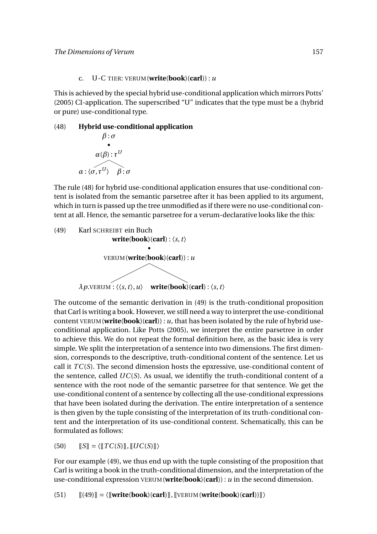#### c.  $U-C$  TIER: VERUM (write(book)(carl)) :  $u$

This is achieved by the special hybrid use-conditional application which mirrors Potts' (2005) CI-application. The superscribed "U" indicates that the type must be a (hybrid or pure) use-conditional type.

# (48) **Hybrid use-conditional application** *β* : *σ* •  $\alpha(\beta)$  :  $\tau^U$

 $\alpha$  :  $\langle \sigma, \tau^U \rangle$  *β* :  $\sigma$ 

The rule (48) for hybrid use-conditional application ensures that use-conditional content is isolated from the semantic parsetree after it has been applied to its argument, which in turn is passed up the tree unmodified as if there were no use-conditional content at all. Hence, the semantic parsetree for a verum-declarative looks like the this:



The outcome of the semantic derivation in (49) is the truth-conditional proposition that Carl is writing a book. However, we still need a way to interpret the use-conditional content VERUM(**write**(**book**)(**carl**)) : *u*, that has been isolated by the rule of hybrid useconditional application. Like Potts (2005), we interpret the entire parsetree in order to achieve this. We do not repeat the formal definition here, as the basic idea is very simple. We split the interpretation of a sentence into two dimensions. The first dimension, corresponds to the descriptive, truth-conditional content of the sentence. Let us call it *TC*(*S*). The second dimension hosts the epxressive, use-conditional content of the sentence, called *UC*(*S*). As usual, we identifiy the truth-conditional content of a sentence with the root node of the semantic parsetree for that sentence. We get the use-conditional content of a sentence by collecting all the use-conditional expressions that have been isolated during the derivation. The entire interpretation of a sentence is then given by the tuple consisting of the interpretation of its truth-conditional content and the interpretation of its use-conditional content. Schematically, this can be formulated as follows:

 $[50]$   $[[S]] = \langle [[TC(S)]], [[UC(S)]] \rangle$ 

For our example (49), we thus end up with the tuple consisting of the proposition that Carl is writing a book in the truth-conditional dimension, and the interpretation of the use-conditional expression VERUM(**write**(**book**)(**carl**)) : *u* in the second dimension.

 $[[(49)]] = \langle [[\text{write}(\text{book})(\text{car}])]], [[\text{VERUM}(\text{write}(\text{book})(\text{car}]))]] \rangle$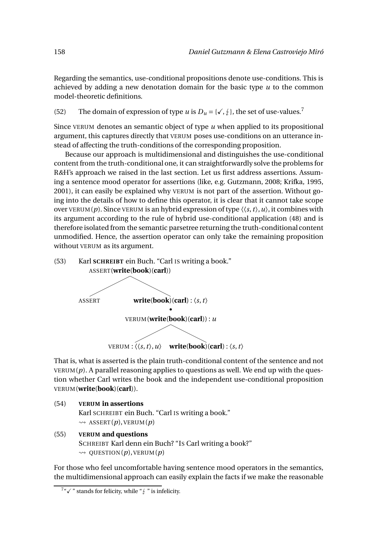Regarding the semantics, use-conditional propositions denote use-conditions. This is achieved by adding a new denotation domain for the basic type *u* to the common model-theoretic definitions.

(52) The domain of expression of type *u* is  $D_u = \{ \sqrt{x}, \frac{1}{2} \}$ , the set of use-values.<sup>7</sup>

Since VERUM denotes an semantic object of type *u* when applied to its propositional argument, this captures directly that VERUM poses use-conditions on an utterance instead of affecting the truth-conditions of the corresponding proposition.

Because our approach is multidimensional and distinguishes the use-conditional content from the truth-conditional one, it can straightforwardly solve the problems for R*&*H's approach we raised in the last section. Let us first address assertions. Assuming a sentence mood operator for assertions (like, e.g. Gutzmann, 2008; Krifka, 1995, 2001), it can easily be explained why VERUM is not part of the assertion. Without going into the details of how to define this operator, it is clear that it cannot take scope over VERUM(*p*). Since VERUM is an hybrid expression of type  $\langle \langle s, t \rangle, u \rangle$ , it combines with its argument according to the rule of hybrid use-conditional application (48) and is therefore isolated from the semantic parsetree returning the truth-conditional content unmodified. Hence, the assertion operator can only take the remaining proposition without VERUM as its argument.



That is, what is asserted is the plain truth-conditional content of the sentence and not  $VERUM(p)$ . A parallel reasoning applies to questions as well. We end up with the question whether Carl writes the book and the independent use-conditional proposition VERUM(**write**(**book**)(**carl**)).

```
(54) VERUM in assertions
```
Karl SCHREIBT ein Buch. "Carl IS writing a book."  $\rightsquigarrow$  ASSERT(*p*), VERUM(*p*)

(55) **VERUM and questions** SCHREIBT Karl denn ein Buch? "IS Carl writing a book?"  $\rightsquigarrow$  QUESTION(*p*), VERUM(*p*)

For those who feel uncomfortable having sentence mood operators in the semantics, the multidimensional approach can easily explain the facts if we make the reasonable

 $7''$   $\checkmark$  " stands for felicity, while " $\frac{1}{4}$ " is infelicity.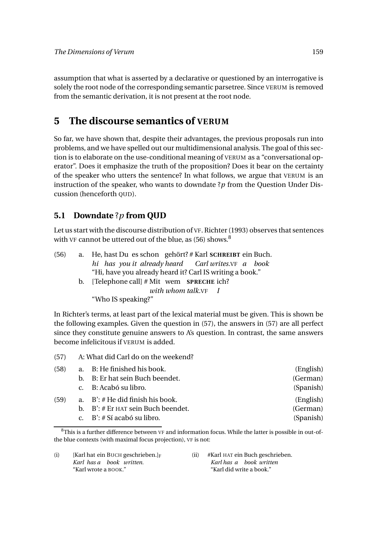assumption that what is asserted by a declarative or questioned by an interrogative is solely the root node of the corresponding semantic parsetree. Since VERUM is removed from the semantic derivation, it is not present at the root node.

# **5 The discourse semantics of VERUM**

So far, we have shown that, despite their advantages, the previous proposals run into problems, and we have spelled out our multidimensional analysis. The goal of this section is to elaborate on the use-conditional meaning of VERUM as a "conversational operator". Does it emphasize the truth of the proposition? Does it bear on the certainty of the speaker who utters the sentence? In what follows, we argue that VERUM is an instruction of the speaker, who wants to downdate ?*p* from the Question Under Discussion (henceforth QUD).

# **5.1 Downdate** ?*p* **from QUD**

Let us start with the discourse distribution of VF. Richter (1993) observes that sentences with VF cannot be uttered out of the blue, as (56) shows.<sup>8</sup>

| (56) | a. He, hast Du es schon gehört? # Karl SCHREIBT ein Buch. |
|------|-----------------------------------------------------------|
|      | hi has you it already heard Carl writes. VF a book        |
|      | "Hi, have you already heard it? Carl IS writing a book."  |
|      | b. [Telephone call] $#$ Mit wem <b>SPRECHE</b> ich?       |
|      | <i>with whom talk.</i> VF I                               |
|      | "Who IS speaking?"                                        |

In Richter's terms, at least part of the lexical material must be given. This is shown be the following examples. Given the question in (57), the answers in (57) are all perfect since they constitute genuine answers to A's question. In contrast, the same answers become infelicitous if VERUM is added.

| (57) | A: What did Carl do on the weekend? |
|------|-------------------------------------|
|------|-------------------------------------|

| (58) | a. B: He finished his book.           | (English) |
|------|---------------------------------------|-----------|
|      | b. B: Er hat sein Buch beendet.       | (German)  |
|      | c. B: Acabó su libro.                 | (Spanish) |
| (59) | a. $B'$ : # He did finish his book.   | (English) |
|      | b. $B'$ : # Er HAT sein Buch beendet. | (German)  |
|      | c. $B'$ : # Sí acabó su libro.        | (Spanish) |

(i) [Karl hat ein BUCH geschrieben.]<sub>F</sub> *Karl has a book written.* "Karl wrote a BOOK."

(ii) #Karl HAT ein Buch geschrieben. *Karl has a book written* "Karl did write a book."

 ${}^{8}$ This is a further difference between VF and information focus. While the latter is possible in out-ofthe blue contexts (with maximal focus projection), VF is not: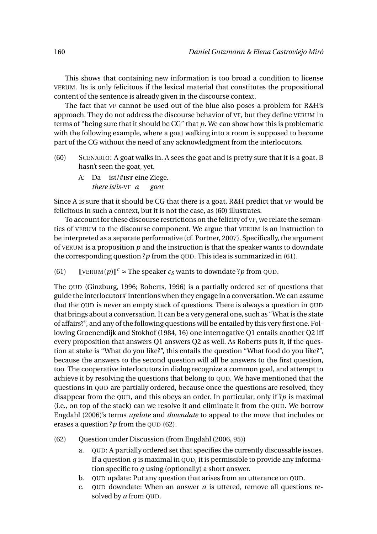This shows that containing new information is too broad a condition to license VERUM. Its is only felicitous if the lexical material that constitutes the propositional content of the sentence is already given in the discourse context.

The fact that VF cannot be used out of the blue also poses a problem for R*&*H's approach. They do not address the discourse behavior of VF, but they define VERUM in terms of "being sure that it should be CG" that *p*. We can show how this is problematic with the following example, where a goat walking into a room is supposed to become part of the CG without the need of any acknowledgment from the interlocutors.

- (60) SCENARIO: A goat walks in. A sees the goat and is pretty sure that it is a goat. B hasn't seen the goat, yet.
	- A: Da ist/#**IST** eine Ziege. *there is/is-*VF *a goat*

Since A is sure that it should be CG that there is a goat, R*&*H predict that VF would be felicitous in such a context, but it is not the case, as (60) illustrates.

To account for these discourse restrictions on the felicity of VF, we relate the semantics of VERUM to the discourse component. We argue that VERUM is an instruction to be interpreted as a separate performative (cf. Portner, 2007). Specifically, the argument of VERUM is a proposition *p* and the instruction is that the speaker wants to downdate the corresponding question  $?p$  from the QUD. This idea is summarized in (61).

(61)  $[\text{VERUM}(p)]^c \approx \text{The speaker } c_S \text{ wants to downdate ?} p \text{ from QUD.}$ 

The QUD (Ginzburg, 1996; Roberts, 1996) is a partially ordered set of questions that guide the interlocutors' intentions when they engage in a conversation. We can assume that the QUD is never an empty stack of questions. There is always a question in QUD that brings about a conversation. It can be a very general one, such as "What is the state of affairs?", and any of the following questions will be entailed by this very first one. Following Groenendijk and Stokhof (1984, 16) one interrogative Q1 entails another Q2 iff every proposition that answers Q1 answers Q2 as well. As Roberts puts it, if the question at stake is "What do you like?", this entails the question "What food do you like?", because the answers to the second question will all be answers to the first question, too. The cooperative interlocutors in dialog recognize a common goal, and attempt to achieve it by resolving the questions that belong to QUD. We have mentioned that the questions in QUD are partially ordered, because once the questions are resolved, they disappear from the QUD, and this obeys an order. In particular, only if ?*p* is maximal (i.e., on top of the stack) can we resolve it and eliminate it from the QUD. We borrow Engdahl (2006)'s terms *update* and *downdate* to appeal to the move that includes or erases a question ?*p* from the QUD (62).

(62) Question under Discussion (from Engdahl (2006, 95))

- a. QUD: A partially ordered set that specifies the currently discussable issues. If a question *q* is maximal in QUD, it is permissible to provide any information specific to *q* using (optionally) a short answer.
- b. QUD update: Put any question that arises from an utterance on QUD.
- c. QUD downdate: When an answer *a* is uttered, remove all questions resolved by *a* from QUD.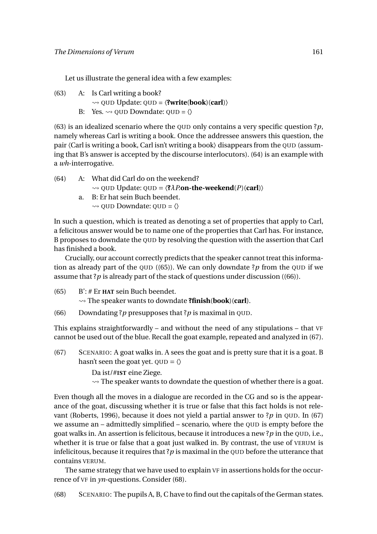Let us illustrate the general idea with a few examples:

(63) A: Is Carl writing a book?  $\rightarrow$  QUD Update: QUD =  $\langle$ **?write**(**book**)(**carl**) $\rangle$ B: Yes.  $\rightsquigarrow$  OUD Downdate: OUD =  $\langle \rangle$ 

(63) is an idealized scenario where the QUD only contains a very specific question ?*p*, namely whereas Carl is writing a book. Once the addressee answers this question, the pair  $\langle$ Carl is writing a book, Carl isn't writing a book $\rangle$  disappears from the QUD (assuming that B's answer is accepted by the discourse interlocutors). (64) is an example with a *wh*-interrogative.

- (64) A: What did Carl do on the weekend?
	- $\rightsquigarrow$  QUD Update: QUD =  $\langle ?\lambda P$ .on-the-weekend $(P)$ (carl) $\rangle$
	- a. B: Er hat sein Buch beendet.  $\rightsquigarrow$  OUD Downdate: OUD =  $\langle \rangle$

In such a question, which is treated as denoting a set of properties that apply to Carl, a felicitous answer would be to name one of the properties that Carl has. For instance, B proposes to downdate the QUD by resolving the question with the assertion that Carl has finished a book.

Crucially, our account correctly predicts that the speaker cannot treat this information as already part of the QUD  $((65))$ . We can only downdate ?*p* from the QUD if we assume that ? $p$  is already part of the stack of questions under discussion ((66)).

- (65) B': # Er **HAT** sein Buch beendet. The speaker wants to downdate **?finish**(**book**)(**carl**).
- (66) Downdating ?*p* presupposes that ?*p* is maximal in QUD.

This explains straightforwardly – and without the need of any stipulations – that VF cannot be used out of the blue. Recall the goat example, repeated and analyzed in (67).

(67) SCENARIO: A goat walks in. A sees the goat and is pretty sure that it is a goat. B hasn't seen the goat yet.  $QUD = \langle \rangle$ 

Da ist/#**IST** eine Ziege.

 $\rightarrow$  The speaker wants to downdate the question of whether there is a goat.

Even though all the moves in a dialogue are recorded in the CG and so is the appearance of the goat, discussing whether it is true or false that this fact holds is not relevant (Roberts, 1996), because it does not yield a partial answer to ?*p* in QUD. In (67) we assume an – admittedly simplified – scenario, where the QUD is empty before the goat walks in. An assertion is felicitous, because it introduces a new ?*p* in the QUD, i.e., whether it is true or false that a goat just walked in. By contrast, the use of VERUM is infelicitous, because it requires that  $?p$  is maximal in the QUD before the utterance that contains VERUM.

The same strategy that we have used to explain VF in assertions holds for the occurrence of VF in *yn*-questions. Consider (68).

(68) SCENARIO: The pupils A, B, C have to find out the capitals of the German states.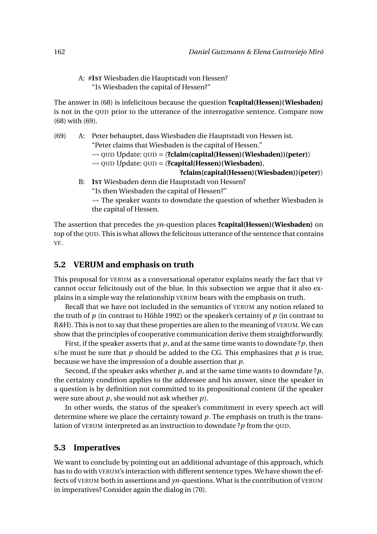A: #**IST** Wiesbaden die Hauptstadt von Hessen? "IS Wiesbaden the capital of Hessen?"

The answer in (68) is infelicitous because the question **?capital(Hessen)(Wiesbaden)** is not in the QUD prior to the utterance of the interrogative sentence. Compare now (68) with (69).

(69) A: Peter behauptet, dass Wiesbaden die Hauptstadt von Hessen ist. "Peter claims that Wiesbaden is the capital of Hessen." QUD Update: QUD = 〈**?claim(capital(Hessen)(Wiesbaden))(peter)**〉 QUD Update: QUD = 〈**?capital(Hessen)(Wiesbaden)**, **?claim(capital(Hessen)(Wiesbaden))(peter)**〉 B: **IST** Wiesbaden denn die Hauptstadt von Hessen? "IS then Wiesbaden the capital of Hessen?"  $\rightarrow$  The speaker wants to downdate the question of whether Wiesbaden is

The assertion that precedes the *yn*-question places **?capital(Hessen)(Wiesbaden)** on top of the QUD. This is what allows the felicitous utterance of the sentence that contains VF.

#### **5.2 VERUM and emphasis on truth**

the capital of Hessen.

This proposal for VERUM as a conversational operator explains neatly the fact that VF cannot occur felicitously out of the blue. In this subsection we argue that it also explains in a simple way the relationship VERUM bears with the emphasis on truth.

Recall that we have not included in the semantics of VERUM any notion related to the truth of *p* (in contrast to Höhle 1992) or the speaker's certainty of *p* (in contrast to R*&*H). This is not to say that these properties are alien to the meaning of VERUM. We can show that the principles of cooperative communication derive them straightforwardly.

First, if the speaker asserts that  $p$ , and at the same time wants to downdate ? $p$ , then s/he must be sure that *p* should be added to the CG. This emphasizes that *p* is true, because we have the impression of a double assertion that *p*.

Second, if the speaker asks whether *p*, and at the same time wants to downdate ?*p*, the certainty condition applies to the addressee and his answer, since the speaker in a question is by definition not committed to its propositional content (if the speaker were sure about *p*, she would not ask whether *p*).

In other words, the status of the speaker's commitment in every speech act will determine where we place the certainty toward *p*. The emphasis on truth is the translation of VERUM interpreted as an instruction to downdate ?*p* from the QUD.

#### **5.3 Imperatives**

We want to conclude by pointing out an additional advantage of this approach, which has to do with VERUM's interaction with different sentence types. We have shown the effects of VERUM both in assertions and *yn*-questions. What is the contribution of VERUM in imperatives? Consider again the dialog in (70).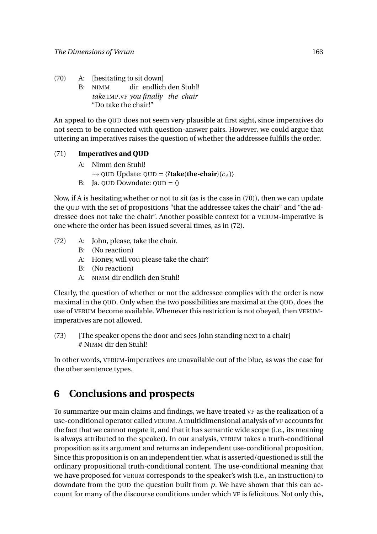(70) A: [hesitating to sit down] B: NIMM *take.*IMP*.*VF *you finally the chair* dir endlich den Stuhl! "Do take the chair!"

An appeal to the QUD does not seem very plausible at first sight, since imperatives do not seem to be connected with question-answer pairs. However, we could argue that uttering an imperatives raises the question of whether the addressee fulfills the order.

# (71) **Imperatives and QUD**

- A: Nimm den Stuhl!
	- $\rightarrow$  QUD Update: QUD =  $\langle$ **?take**(**the-chair**)(*c*<sub>*A*</sub>) $\rangle$
- B: Ja. QUD Downdate:  $QUD = \langle \rangle$

Now, if A is hesitating whether or not to sit (as is the case in (70)), then we can update the QUD with the set of propositions "that the addressee takes the chair" and "the addressee does not take the chair". Another possible context for a VERUM-imperative is one where the order has been issued several times, as in (72).

- (72) A: John, please, take the chair.
	- B: (No reaction)
	- A: Honey, will you please take the chair?
	- B: (No reaction)
	- A: NIMM dir endlich den Stuhl!

Clearly, the question of whether or not the addressee complies with the order is now maximal in the QUD. Only when the two possibilities are maximal at the QUD, does the use of VERUM become available. Whenever this restriction is not obeyed, then VERUMimperatives are not allowed.

(73) [The speaker opens the door and sees John standing next to a chair] # NIMM dir den Stuhl!

In other words, VERUM-imperatives are unavailable out of the blue, as was the case for the other sentence types.

# **6 Conclusions and prospects**

To summarize our main claims and findings, we have treated VF as the realization of a use-conditional operator called VERUM. A multidimensional analysis of VF accounts for the fact that we cannot negate it, and that it has semantic wide scope (i.e., its meaning is always attributed to the speaker). In our analysis, VERUM takes a truth-conditional proposition as its argument and returns an independent use-conditional proposition. Since this proposition is on an independent tier, what is asserted/questioned is still the ordinary propositional truth-conditional content. The use-conditional meaning that we have proposed for VERUM corresponds to the speaker's wish (i.e., an instruction) to downdate from the QUD the question built from  $p$ . We have shown that this can account for many of the discourse conditions under which VF is felicitous. Not only this,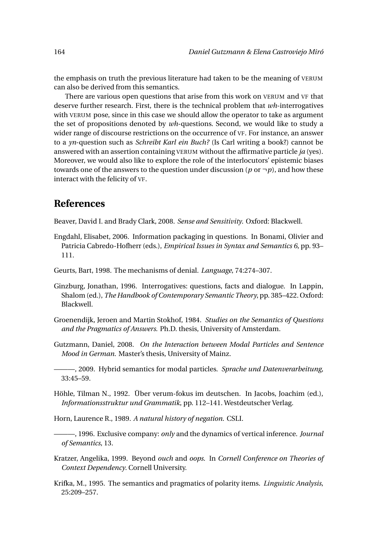the emphasis on truth the previous literature had taken to be the meaning of VERUM can also be derived from this semantics.

There are various open questions that arise from this work on VERUM and VF that deserve further research. First, there is the technical problem that *wh*-interrogatives with VERUM pose, since in this case we should allow the operator to take as argument the set of propositions denoted by *wh*-questions. Second, we would like to study a wider range of discourse restrictions on the occurrence of VF. For instance, an answer to a *yn*-question such as *Schreibt Karl ein Buch?* (Is Carl writing a book?) cannot be answered with an assertion containing VERUM without the affirmative particle *ja* (yes). Moreover, we would also like to explore the role of the interlocutors' epistemic biases towards one of the answers to the question under discussion ( $p$  or  $\neg p$ ), and how these interact with the felicity of VF.

# **References**

Beaver, David I. and Brady Clark, 2008. *Sense and Sensitivity*. Oxford: Blackwell.

- Engdahl, Elisabet, 2006. Information packaging in questions. In Bonami, Olivier and Patricia Cabredo-Hofherr (eds.), *Empirical Issues in Syntax and Semantics 6*, pp. 93– 111.
- Geurts, Bart, 1998. The mechanisms of denial. *Language*, 74:274–307.
- Ginzburg, Jonathan, 1996. Interrogatives: questions, facts and dialogue. In Lappin, Shalom (ed.), *The Handbook of Contemporary Semantic Theory*, pp. 385–422. Oxford: Blackwell.
- Groenendijk, Jeroen and Martin Stokhof, 1984. *Studies on the Semantics of Questions and the Pragmatics of Answers*. Ph.D. thesis, University of Amsterdam.
- Gutzmann, Daniel, 2008. *On the Interaction between Modal Particles and Sentence Mood in German*. Master's thesis, University of Mainz.

———, 2009. Hybrid semantics for modal particles. *Sprache und Datenverarbeitung*, 33:45–59.

- Höhle, Tilman N., 1992. Über verum-fokus im deutschen. In Jacobs, Joachim (ed.), *Informationsstruktur und Grammatik*, pp. 112–141. Westdeutscher Verlag.
- Horn, Laurence R., 1989. *A natural history of negation*. CSLI.
- ———, 1996. Exclusive company: *only* and the dynamics of vertical inference. *Journal of Semantics*, 13.
- Kratzer, Angelika, 1999. Beyond *ouch* and *oops*. In *Cornell Conference on Theories of Context Dependency*. Cornell University.
- Krifka, M., 1995. The semantics and pragmatics of polarity items. *Linguistic Analysis*, 25:209–257.